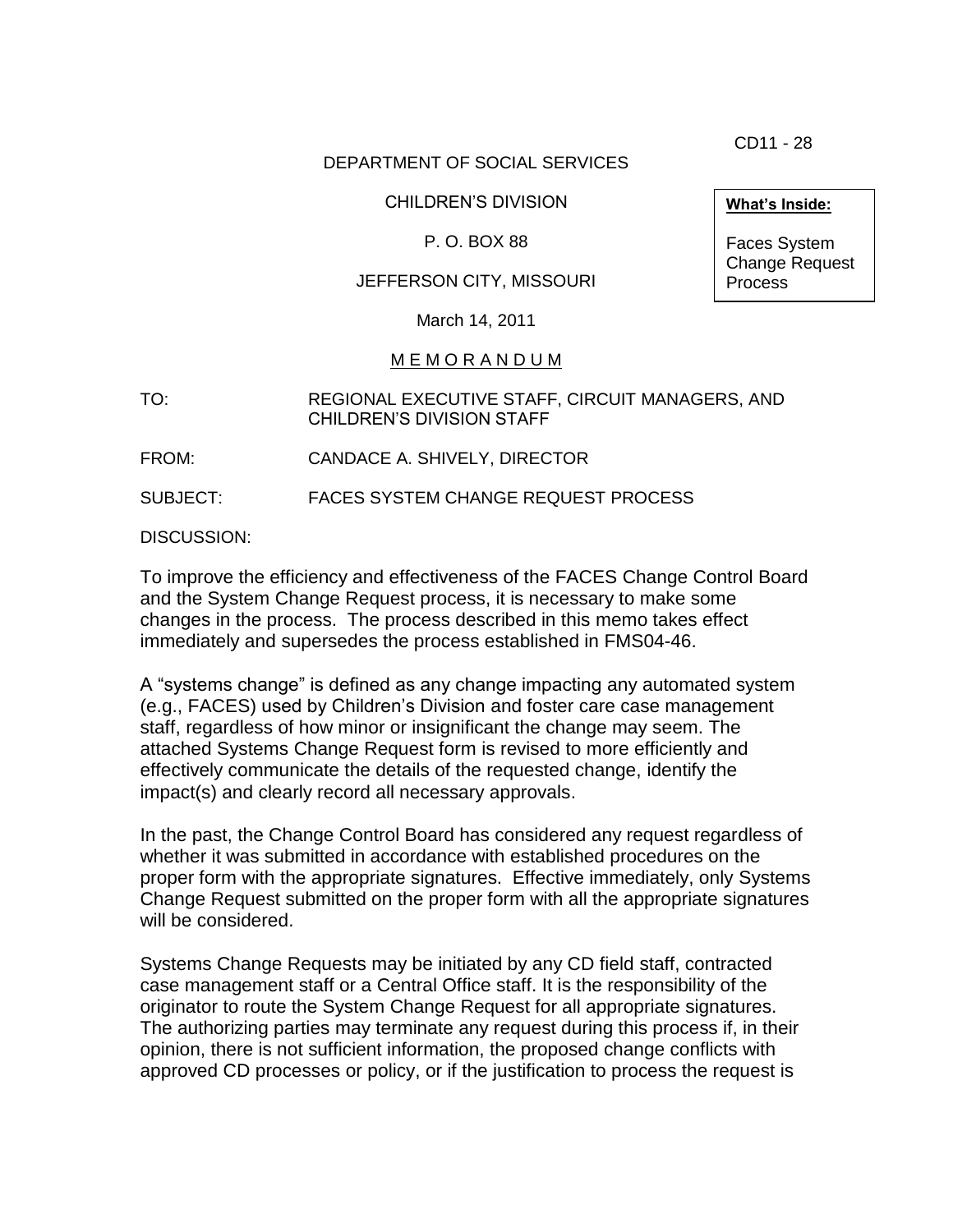CD11 - 28

## DEPARTMENT OF SOCIAL SERVICES

CHILDREN'S DIVISION

P. O. BOX 88

## JEFFERSON CITY, MISSOURI

March 14, 2011

## M E M O R A N D U M

TO: REGIONAL EXECUTIVE STAFF, CIRCUIT MANAGERS, AND CHILDREN'S DIVISION STAFF

FROM: CANDACE A. SHIVELY, DIRECTOR

SUBJECT: FACES SYSTEM CHANGE REQUEST PROCESS

DISCUSSION:

To improve the efficiency and effectiveness of the FACES Change Control Board and the System Change Request process, it is necessary to make some changes in the process. The process described in this memo takes effect immediately and supersedes the process established in FMS04-46.

A "systems change" is defined as any change impacting any automated system (e.g., FACES) used by Children's Division and foster care case management staff, regardless of how minor or insignificant the change may seem. The attached Systems Change Request form is revised to more efficiently and effectively communicate the details of the requested change, identify the impact(s) and clearly record all necessary approvals.

In the past, the Change Control Board has considered any request regardless of whether it was submitted in accordance with established procedures on the proper form with the appropriate signatures. Effective immediately, only Systems Change Request submitted on the proper form with all the appropriate signatures will be considered.

Systems Change Requests may be initiated by any CD field staff, contracted case management staff or a Central Office staff. It is the responsibility of the originator to route the System Change Request for all appropriate signatures. The authorizing parties may terminate any request during this process if, in their opinion, there is not sufficient information, the proposed change conflicts with approved CD processes or policy, or if the justification to process the request is

**What's Inside:**

Faces System Change Request **Process**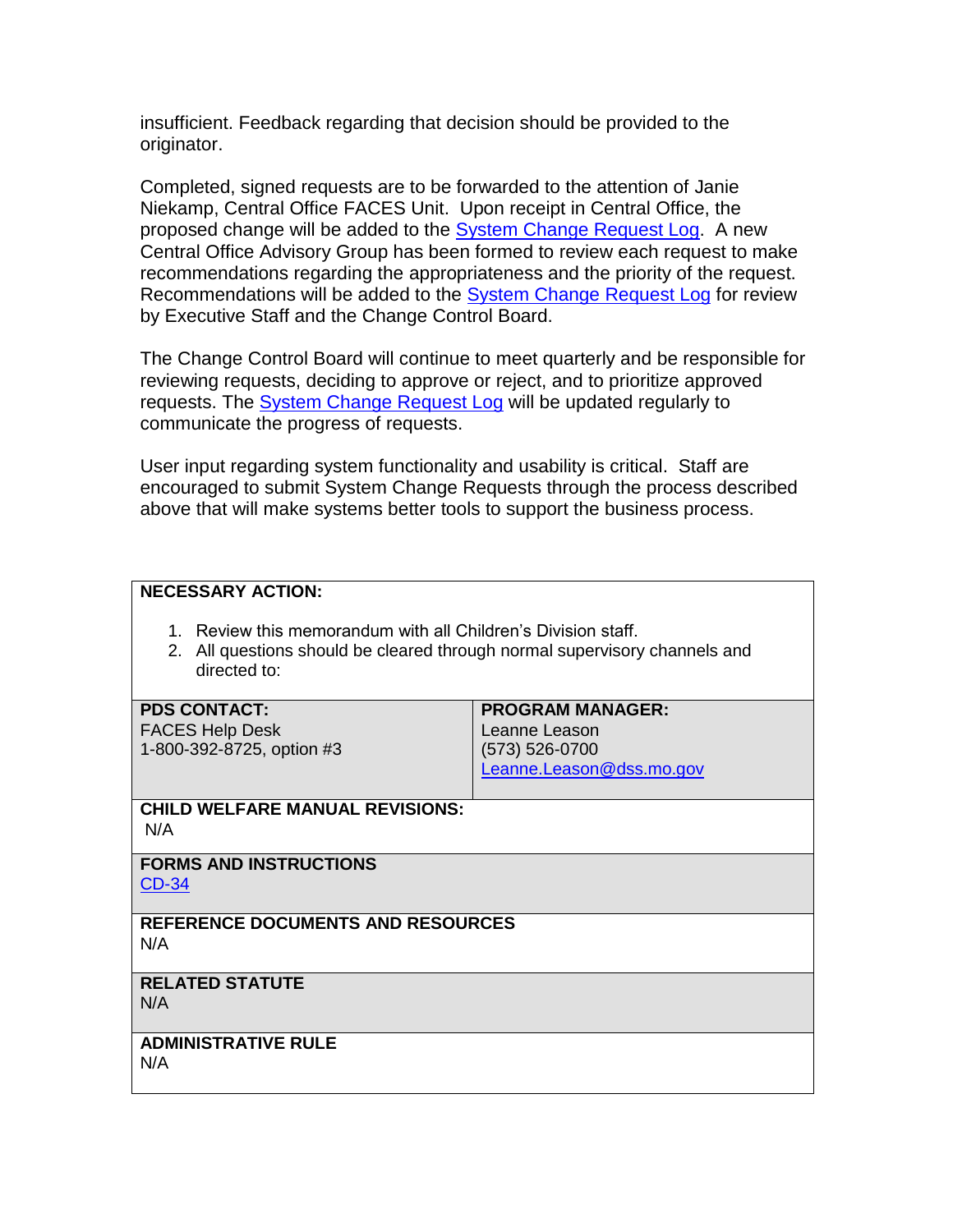insufficient. Feedback regarding that decision should be provided to the originator.

Completed, signed requests are to be forwarded to the attention of Janie Niekamp, Central Office FACES Unit. Upon receipt in Central Office, the proposed change will be added to the **[System Change Request Log.](http://dssweb/cs/faces/log.pdf)** A new Central Office Advisory Group has been formed to review each request to make recommendations regarding the appropriateness and the priority of the request. Recommendations will be added to the [System Change Request Log](http://dssweb/cs/faces/indexinfo.mht) for review by Executive Staff and the Change Control Board.

The Change Control Board will continue to meet quarterly and be responsible for reviewing requests, deciding to approve or reject, and to prioritize approved requests. The [System Change Request Log](http://dssweb/cs/faces/indexinfo.mht) will be updated regularly to communicate the progress of requests.

User input regarding system functionality and usability is critical. Staff are encouraged to submit System Change Requests through the process described above that will make systems better tools to support the business process.

| <b>NECESSARY ACTION:</b>                                                                                                                                    |                          |
|-------------------------------------------------------------------------------------------------------------------------------------------------------------|--------------------------|
| 1. Review this memorandum with all Children's Division staff.<br>2. All questions should be cleared through normal supervisory channels and<br>directed to: |                          |
| <b>PDS CONTACT:</b>                                                                                                                                         | <b>PROGRAM MANAGER:</b>  |
| <b>FACES Help Desk</b>                                                                                                                                      | Leanne Leason            |
| 1-800-392-8725, option #3                                                                                                                                   | (573) 526-0700           |
|                                                                                                                                                             | Leanne.Leason@dss.mo.gov |
| <b>CHILD WELFARE MANUAL REVISIONS:</b><br>N/A                                                                                                               |                          |
| <b>FORMS AND INSTRUCTIONS</b><br><b>CD-34</b>                                                                                                               |                          |
| <b>REFERENCE DOCUMENTS AND RESOURCES</b><br>N/A                                                                                                             |                          |
| <b>RELATED STATUTE</b><br>N/A                                                                                                                               |                          |
| <b>ADMINISTRATIVE RULE</b>                                                                                                                                  |                          |
| N/A                                                                                                                                                         |                          |
|                                                                                                                                                             |                          |